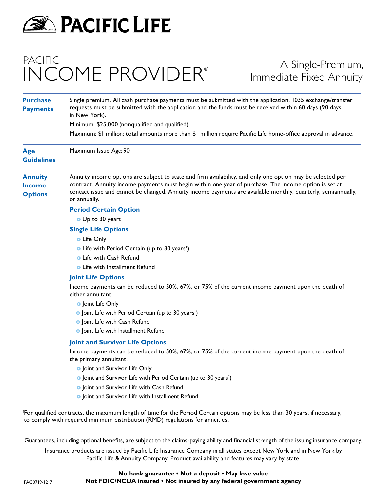

## PACIFIC INCOME PROVIDER®

### A Single-Premium, Immediate Fixed Annuity

| <b>Purchase</b><br><b>Payments</b>                | Single premium. All cash purchase payments must be submitted with the application. 1035 exchange/transfer<br>requests must be submitted with the application and the funds must be received within 60 days (90 days<br>in New York).                                                                                                                |
|---------------------------------------------------|-----------------------------------------------------------------------------------------------------------------------------------------------------------------------------------------------------------------------------------------------------------------------------------------------------------------------------------------------------|
|                                                   | Minimum: \$25,000 (nonqualified and qualified).                                                                                                                                                                                                                                                                                                     |
|                                                   | Maximum: \$1 million; total amounts more than \$1 million require Pacific Life home-office approval in advance.                                                                                                                                                                                                                                     |
| Age<br><b>Guidelines</b>                          | Maximum Issue Age: 90                                                                                                                                                                                                                                                                                                                               |
| <b>Annuity</b><br><b>Income</b><br><b>Options</b> | Annuity income options are subject to state and firm availability, and only one option may be selected per<br>contract. Annuity income payments must begin within one year of purchase. The income option is set at<br>contact issue and cannot be changed. Annuity income payments are available monthly, quarterly, semiannually,<br>or annually. |
|                                                   | <b>Period Certain Option</b>                                                                                                                                                                                                                                                                                                                        |
|                                                   | O Up to 30 years <sup>1</sup>                                                                                                                                                                                                                                                                                                                       |
|                                                   | <b>Single Life Options</b>                                                                                                                                                                                                                                                                                                                          |
|                                                   | <b>o</b> Life Only                                                                                                                                                                                                                                                                                                                                  |
|                                                   | • Life with Period Certain (up to 30 years <sup>1</sup> )                                                                                                                                                                                                                                                                                           |
|                                                   | <b>o</b> Life with Cash Refund                                                                                                                                                                                                                                                                                                                      |
|                                                   | <b>o</b> Life with Installment Refund                                                                                                                                                                                                                                                                                                               |
|                                                   | <b>Joint Life Options</b>                                                                                                                                                                                                                                                                                                                           |
|                                                   | Income payments can be reduced to 50%, 67%, or 75% of the current income payment upon the death of<br>either annuitant.                                                                                                                                                                                                                             |
|                                                   | <b>o</b> Joint Life Only                                                                                                                                                                                                                                                                                                                            |
|                                                   | • Joint Life with Period Certain (up to 30 years <sup>1</sup> )                                                                                                                                                                                                                                                                                     |
|                                                   | o Joint Life with Cash Refund                                                                                                                                                                                                                                                                                                                       |
|                                                   | o Joint Life with Installment Refund                                                                                                                                                                                                                                                                                                                |
|                                                   | <b>Joint and Survivor Life Options</b>                                                                                                                                                                                                                                                                                                              |
|                                                   | Income payments can be reduced to 50%, 67%, or 75% of the current income payment upon the death of<br>the primary annuitant.                                                                                                                                                                                                                        |
|                                                   | o Joint and Survivor Life Only                                                                                                                                                                                                                                                                                                                      |
|                                                   | • Joint and Survivor Life with Period Certain (up to 30 years <sup>1</sup> )                                                                                                                                                                                                                                                                        |
|                                                   | <b>o</b> Joint and Survivor Life with Cash Refund                                                                                                                                                                                                                                                                                                   |
|                                                   | o Joint and Survivor Life with Installment Refund                                                                                                                                                                                                                                                                                                   |

1 For qualified contracts, the maximum length of time for the Period Certain options may be less than 30 years, if necessary, to comply with required minimum distribution (RMD) regulations for annuities.

Guarantees, including optional benefits, are subject to the claims-paying ability and financial strength of the issuing insurance company.

Insurance products are issued by Pacific Life Insurance Company in all states except New York and in New York by Pacific Life & Annuity Company. Product availability and features may vary by state.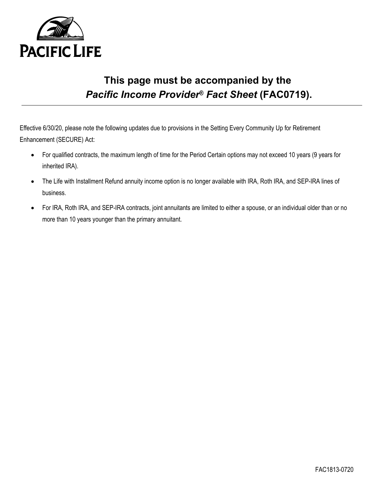

## **This page must be accompanied by the**  *Pacific Income Provider® Fact Sheet* **(FAC0719).**

Effective 6/30/20, please note the following updates due to provisions in the Setting Every Community Up for Retirement Enhancement (SECURE) Act:

- For qualified contracts, the maximum length of time for the Period Certain options may not exceed 10 years (9 years for inherited IRA).
- The Life with Installment Refund annuity income option is no longer available with IRA, Roth IRA, and SEP-IRA lines of business.
- For IRA, Roth IRA, and SEP-IRA contracts, joint annuitants are limited to either a spouse, or an individual older than or no more than 10 years younger than the primary annuitant.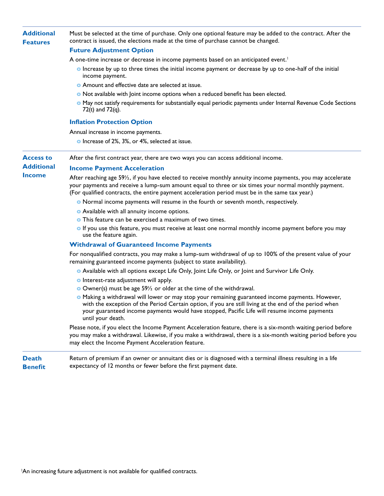| <b>Additional</b><br><b>Features</b> | Must be selected at the time of purchase. Only one optional feature may be added to the contract. After the<br>contract is issued, the elections made at the time of purchase cannot be changed.                                                                                                                                |
|--------------------------------------|---------------------------------------------------------------------------------------------------------------------------------------------------------------------------------------------------------------------------------------------------------------------------------------------------------------------------------|
|                                      | <b>Future Adjustment Option</b>                                                                                                                                                                                                                                                                                                 |
|                                      | A one-time increase or decrease in income payments based on an anticipated event. <sup>1</sup>                                                                                                                                                                                                                                  |
|                                      | <b>•</b> Increase by up to three times the initial income payment or decrease by up to one-half of the initial<br>income payment.                                                                                                                                                                                               |
|                                      | • Amount and effective date are selected at issue.                                                                                                                                                                                                                                                                              |
|                                      | • Not available with Joint income options when a reduced benefit has been elected.                                                                                                                                                                                                                                              |
|                                      | • May not satisfy requirements for substantially equal periodic payments under Internal Revenue Code Sections<br>72(t) and $72(q)$ .                                                                                                                                                                                            |
|                                      | <b>Inflation Protection Option</b>                                                                                                                                                                                                                                                                                              |
|                                      | Annual increase in income payments.                                                                                                                                                                                                                                                                                             |
|                                      | • Increase of 2%, 3%, or 4%, selected at issue.                                                                                                                                                                                                                                                                                 |
| <b>Access to</b>                     | After the first contract year, there are two ways you can access additional income.                                                                                                                                                                                                                                             |
| <b>Additional</b>                    | <b>Income Payment Acceleration</b>                                                                                                                                                                                                                                                                                              |
| <b>Income</b>                        | After reaching age 591/2, if you have elected to receive monthly annuity income payments, you may accelerate<br>your payments and receive a lump-sum amount equal to three or six times your normal monthly payment.<br>(For qualified contracts, the entire payment acceleration period must be in the same tax year.)         |
|                                      | • Normal income payments will resume in the fourth or seventh month, respectively.                                                                                                                                                                                                                                              |
|                                      | • Available with all annuity income options.                                                                                                                                                                                                                                                                                    |
|                                      | <b>o</b> This feature can be exercised a maximum of two times.                                                                                                                                                                                                                                                                  |
|                                      | <b>o</b> If you use this feature, you must receive at least one normal monthly income payment before you may<br>use the feature again.                                                                                                                                                                                          |
|                                      | <b>Withdrawal of Guaranteed Income Payments</b>                                                                                                                                                                                                                                                                                 |
|                                      | For nonqualified contracts, you may make a lump-sum withdrawal of up to 100% of the present value of your<br>remaining guaranteed income payments (subject to state availability).                                                                                                                                              |
|                                      | <b>•</b> Available with all options except Life Only, Joint Life Only, or Joint and Survivor Life Only.                                                                                                                                                                                                                         |
|                                      | <b>o</b> Interest-rate adjustment will apply.                                                                                                                                                                                                                                                                                   |
|                                      | O Owner(s) must be age $59\frac{1}{2}$ or older at the time of the withdrawal.                                                                                                                                                                                                                                                  |
|                                      | . Making a withdrawal will lower or may stop your remaining guaranteed income payments. However,<br>with the exception of the Period Certain option, if you are still living at the end of the period when<br>your guaranteed income payments would have stopped, Pacific Life will resume income payments<br>until your death. |
|                                      | Please note, if you elect the Income Payment Acceleration feature, there is a six-month waiting period before<br>you may make a withdrawal. Likewise, if you make a withdrawal, there is a six-month waiting period before you<br>may elect the Income Payment Acceleration feature.                                            |
| <b>Death</b><br><b>Benefit</b>       | Return of premium if an owner or annuitant dies or is diagnosed with a terminal illness resulting in a life<br>expectancy of 12 months or fewer before the first payment date.                                                                                                                                                  |

<sup>1</sup>An increasing future adjustment is not available for qualified contracts.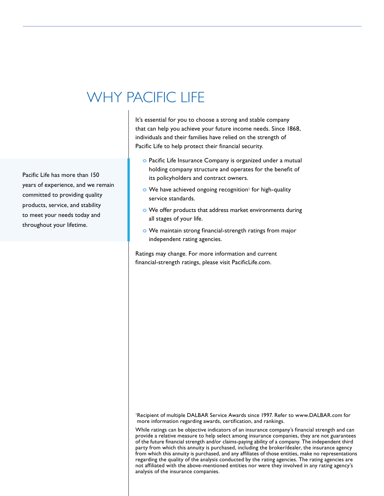# WHY PACIFIC LIFE

Pacific Life has more than 150 years of experience, and we remain committed to providing quality products, service, and stability to meet your needs today and throughout your lifetime.

It's essential for you to choose a strong and stable company that can help you achieve your future income needs. Since 1868, individuals and their families have relied on the strength of Pacific Life to help protect their financial security.

- **o** Pacific Life Insurance Company is organized under a mutual holding company structure and operates for the benefit of its policyholders and contract owners.
- **o** We have achieved ongoing recognition<sup>1</sup> for high-quality service standards.
- **o** We offer products that address market environments during all stages of your life.
- **o** We maintain strong financial-strength ratings from major independent rating agencies.

Ratings may change. For more information and current financial-strength ratings, please visit PacificLife.com.

<sup>1</sup>Recipient of multiple DALBAR Service Awards since 1997. Refer to www.DALBAR.com for more information regarding awards, certification, and rankings.

While ratings can be objective indicators of an insurance company's financial strength and can provide a relative measure to help select among insurance companies, they are not guarantees of the future financial strength and/or claims-paying ability of a company. The independent third party from which this annuity is purchased, including the broker/dealer, the insurance agency from which this annuity is purchased, and any affiliates of those entities, make no representations regarding the quality of the analysis conducted by the rating agencies. The rating agencies are not affiliated with the above-mentioned entities nor were they involved in any rating agency's analysis of the insurance companies.